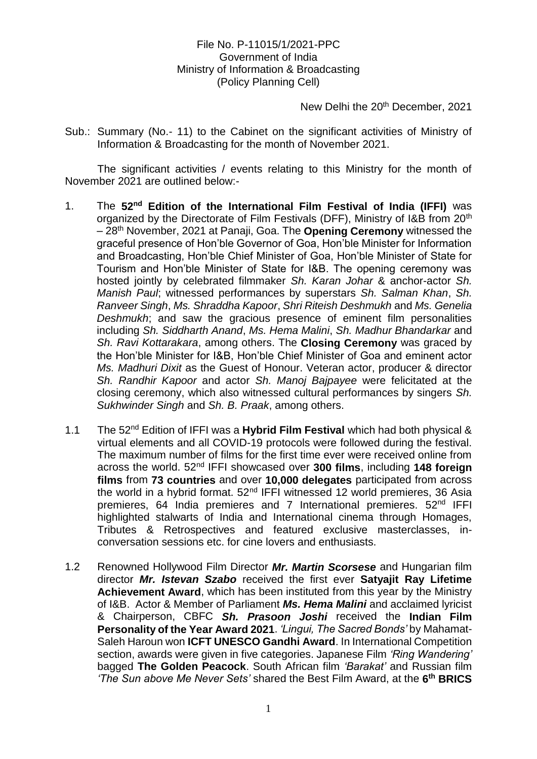# File No. P-11015/1/2021-PPC Government of India Ministry of Information & Broadcasting (Policy Planning Cell)

New Delhi the 20<sup>th</sup> December, 2021

Sub.: Summary (No.- 11) to the Cabinet on the significant activities of Ministry of Information & Broadcasting for the month of November 2021.

The significant activities / events relating to this Ministry for the month of November 2021 are outlined below:-

- 1. The **52nd Edition of the International Film Festival of India (IFFI)** was organized by the Directorate of Film Festivals (DFF), Ministry of I&B from 20<sup>th</sup> – 28th November, 2021 at Panaji, Goa. The **Opening Ceremony** witnessed the graceful presence of Hon'ble Governor of Goa, Hon'ble Minister for Information and Broadcasting, Hon'ble Chief Minister of Goa, Hon'ble Minister of State for Tourism and Hon'ble Minister of State for I&B. The opening ceremony was hosted jointly by celebrated filmmaker *Sh. Karan Johar* & anchor-actor *Sh. Manish Paul*; witnessed performances by superstars *Sh. Salman Khan*, *Sh. Ranveer Singh*, *Ms. Shraddha Kapoor*, *Shri Riteish Deshmukh* and *Ms. Genelia Deshmukh*; and saw the gracious presence of eminent film personalities including *Sh. Siddharth Anand*, *Ms. Hema Malini*, *Sh. Madhur Bhandarkar* and *Sh. Ravi Kottarakara*, among others. The **Closing Ceremony** was graced by the Hon'ble Minister for I&B, Hon'ble Chief Minister of Goa and eminent actor *Ms. Madhuri Dixit* as the Guest of Honour. Veteran actor, producer & director *Sh. Randhir Kapoor* and actor *Sh. Manoj Bajpayee* were felicitated at the closing ceremony, which also witnessed cultural performances by singers *Sh. Sukhwinder Singh* and *Sh. B. Praak*, among others.
- 1.1 The 52nd Edition of IFFI was a **Hybrid Film Festival** which had both physical & virtual elements and all COVID-19 protocols were followed during the festival. The maximum number of films for the first time ever were received online from across the world. 52nd IFFI showcased over **300 films**, including **148 foreign films** from **73 countries** and over **10,000 delegates** participated from across the world in a hybrid format.  $52<sup>nd</sup>$  IFFI witnessed 12 world premieres, 36 Asia premieres, 64 India premieres and 7 International premieres. 52<sup>nd</sup> IFFI highlighted stalwarts of India and International cinema through Homages, Tributes & Retrospectives and featured exclusive masterclasses, inconversation sessions etc. for cine lovers and enthusiasts.
- 1.2 Renowned Hollywood Film Director *Mr. Martin Scorsese* and Hungarian film director *Mr. Istevan Szabo* received the first ever **Satyajit Ray Lifetime Achievement Award**, which has been instituted from this year by the Ministry of I&B.Actor & Member of Parliament *Ms. Hema Malini* and acclaimed lyricist & Chairperson, CBFC *Sh. Prasoon Joshi* received the **Indian Film Personality of the Year Award 2021**. *'Lingui, The Sacred Bonds'* by Mahamat-Saleh Haroun won **ICFT UNESCO Gandhi Award**. In International Competition section, awards were given in five categories. Japanese Film *'Ring Wandering'* bagged **The Golden Peacock**. South African film *'Barakat'* and Russian film *'The Sun above Me Never Sets'* shared the Best Film Award, at the **6 th BRICS**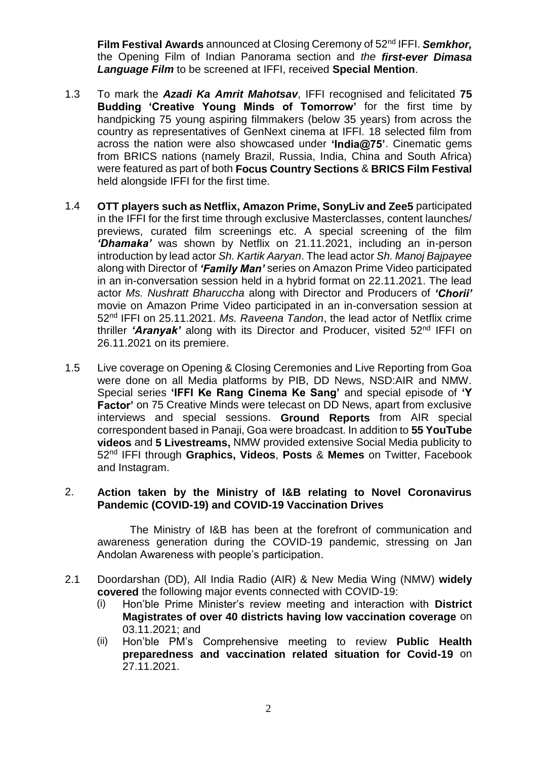**Film Festival Awards** announced at Closing Ceremony of 52nd IFFI. *Semkhor,* the Opening Film of Indian Panorama section and *the first-ever Dimasa Language Film* to be screened at IFFI, received **Special Mention**.

- 1.3 To mark the *Azadi Ka Amrit Mahotsav*, IFFI recognised and felicitated **75 Budding 'Creative Young Minds of Tomorrow'** for the first time by handpicking 75 young aspiring filmmakers (below 35 years) from across the country as representatives of GenNext cinema at IFFI. 18 selected film from across the nation were also showcased under **'India@75'**. Cinematic gems from BRICS nations (namely Brazil, Russia, India, China and South Africa) were featured as part of both **Focus Country Sections** & **BRICS Film Festival** held alongside IFFI for the first time.
- 1.4 **OTT players such as Netflix, Amazon Prime, SonyLiv and Zee5** participated in the IFFI for the first time through exclusive Masterclasses, content launches/ previews, curated film screenings etc. A special screening of the film *'Dhamaka'* was shown by Netflix on 21.11.2021, including an in-person introduction by lead actor *Sh. Kartik Aaryan*. The lead actor *Sh. Manoj Bajpayee* along with Director of *'Family Man'* series on Amazon Prime Video participated in an in-conversation session held in a hybrid format on 22.11.2021. The lead actor *Ms. Nushratt Bharuccha* along with Director and Producers of *'Chorii'* movie on Amazon Prime Video participated in an in-conversation session at 52nd IFFI on 25.11.2021. *Ms. Raveena Tandon*, the lead actor of Netflix crime thriller *'Aranyak'* along with its Director and Producer, visited 52nd IFFI on 26.11.2021 on its premiere.
- 1.5 Live coverage on Opening & Closing Ceremonies and Live Reporting from Goa were done on all Media platforms by PIB, DD News, NSD:AIR and NMW. Special series **'IFFI Ke Rang Cinema Ke Sang'** and special episode of **'Y Factor'** on 75 Creative Minds were telecast on DD News, apart from exclusive interviews and special sessions. **Ground Reports** from AIR special correspondent based in Panaji, Goa were broadcast. In addition to **55 YouTube videos** and **5 Livestreams,** NMW provided extensive Social Media publicity to 52nd IFFI through **Graphics, Videos**, **Posts** & **Memes** on Twitter, Facebook and Instagram.

### 2. **Action taken by the Ministry of I&B relating to Novel Coronavirus Pandemic (COVID-19) and COVID-19 Vaccination Drives**

The Ministry of I&B has been at the forefront of communication and awareness generation during the COVID-19 pandemic, stressing on Jan Andolan Awareness with people's participation.

- 2.1 Doordarshan (DD), All India Radio (AIR) & New Media Wing (NMW) **widely covered** the following major events connected with COVID-19:
	- (i) Hon'ble Prime Minister's review meeting and interaction with **District Magistrates of over 40 districts having low vaccination coverage** on 03.11.2021; and
	- (ii) Hon'ble PM's Comprehensive meeting to review **Public Health preparedness and vaccination related situation for Covid-19** on 27.11.2021.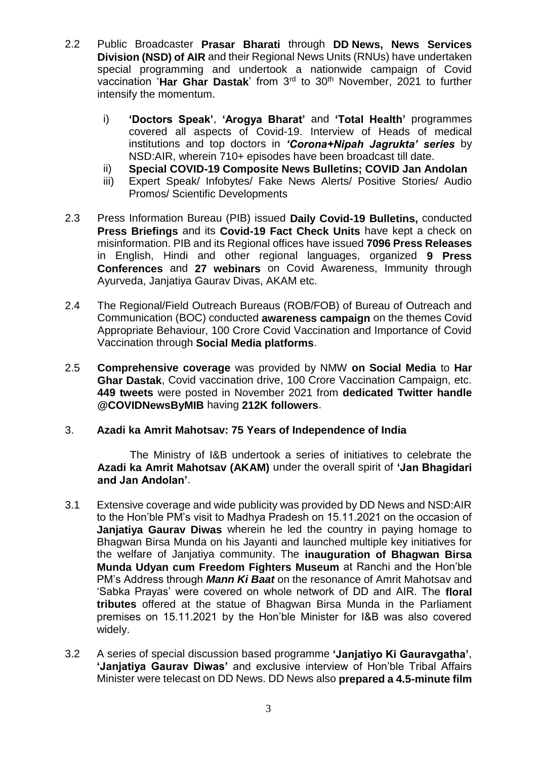- 2.2 Public Broadcaster **Prasar Bharati** through **DD News, News Services Division (NSD) of AIR** and their Regional News Units (RNUs) have undertaken special programming and undertook a nationwide campaign of Covid vaccination '**Har Ghar Dastak**' from 3rd to 30th November, 2021 to further intensify the momentum.
	- i) **'Doctors Speak'**, **'Arogya Bharat'** and **'Total Health'** programmes covered all aspects of Covid-19. Interview of Heads of medical institutions and top doctors in *'Corona+Nipah Jagrukta' series* by NSD:AIR, wherein 710+ episodes have been broadcast till date.
	- ii) **Special COVID-19 Composite News Bulletins; COVID Jan Andolan**
	- iii) Expert Speak/ Infobytes/ Fake News Alerts/ Positive Stories/ Audio Promos/ Scientific Developments
- 2.3 Press Information Bureau (PIB) issued **Daily Covid-19 Bulletins,** conducted **Press Briefings** and its **Covid-19 Fact Check Units** have kept a check on misinformation. PIB and its Regional offices have issued **7096 Press Releases** in English, Hindi and other regional languages, organized **9 Press Conferences** and **27 webinars** on Covid Awareness, Immunity through Ayurveda, Janjatiya Gaurav Divas, AKAM etc.
- 2.4 The Regional/Field Outreach Bureaus (ROB/FOB) of Bureau of Outreach and Communication (BOC) conducted **awareness campaign** on the themes Covid Appropriate Behaviour, 100 Crore Covid Vaccination and Importance of Covid Vaccination through **Social Media platforms**.
- 2.5 **Comprehensive coverage** was provided by NMW **on Social Media** to **Har Ghar Dastak**, Covid vaccination drive, 100 Crore Vaccination Campaign, etc. **449 tweets** were posted in November 2021 from **dedicated Twitter handle @COVIDNewsByMIB** having **212K followers**.

## 3. **Azadi ka Amrit Mahotsav: 75 Years of Independence of India**

The Ministry of I&B undertook a series of initiatives to celebrate the **Azadi ka Amrit Mahotsav (AKAM)** under the overall spirit of **'Jan Bhagidari and Jan Andolan'**.

- 3.1 Extensive coverage and wide publicity was provided by DD News and NSD:AIR to the Hon'ble PM's visit to Madhya Pradesh on 15.11.2021 on the occasion of **Janjatiya Gaurav Diwas** wherein he led the country in paying homage to Bhagwan Birsa Munda on his Jayanti and launched multiple key initiatives for the welfare of Janjatiya community. The **inauguration of Bhagwan Birsa Munda Udyan cum Freedom Fighters Museum** at Ranchi and the Hon'ble PM's Address through *Mann Ki Baat* on the resonance of Amrit Mahotsav and 'Sabka Prayas' were covered on whole network of DD and AIR. The **floral tributes** offered at the statue of Bhagwan Birsa Munda in the Parliament premises on 15.11.2021 by the Hon'ble Minister for I&B was also covered widely.
- 3.2 A series of special discussion based programme **'Janjatiyo Ki Gauravgatha'**, **'Janjatiya Gaurav Diwas'** and exclusive interview of Hon'ble Tribal Affairs Minister were telecast on DD News. DD News also **prepared a 4.5-minute film**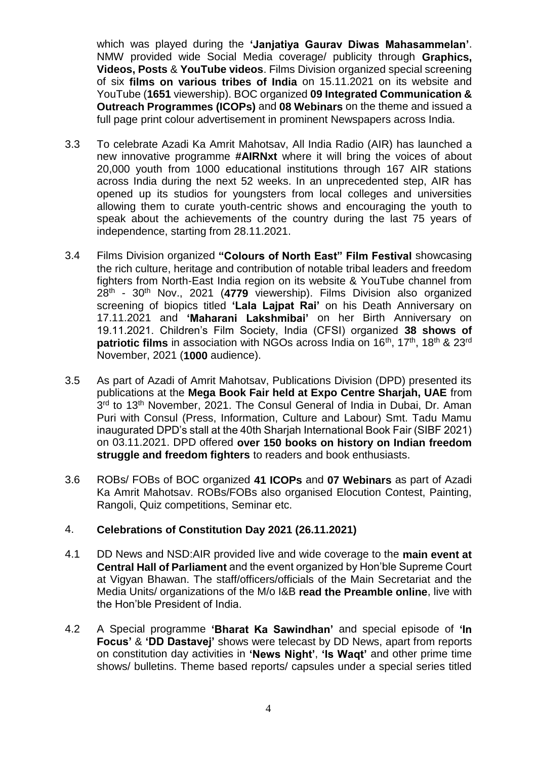which was played during the **'Janjatiya Gaurav Diwas Mahasammelan'**. NMW provided wide Social Media coverage/ publicity through **Graphics, Videos, Posts** & **YouTube videos**. Films Division organized special screening of six **films on various tribes of India** on 15.11.2021 on its website and YouTube (**1651** viewership). BOC organized **09 Integrated Communication & Outreach Programmes (ICOPs)** and **08 Webinars** on the theme and issued a full page print colour advertisement in prominent Newspapers across India.

- 3.3 To celebrate Azadi Ka Amrit Mahotsav, All India Radio (AIR) has launched a new innovative programme **#AIRNxt** where it will bring the voices of about 20,000 youth from 1000 educational institutions through 167 AIR stations across India during the next 52 weeks. In an unprecedented step, AIR has opened up its studios for youngsters from local colleges and universities allowing them to curate youth-centric shows and encouraging the youth to speak about the achievements of the country during the last 75 years of independence, starting from 28.11.2021.
- 3.4 Films Division organized **"Colours of North East" Film Festival** showcasing the rich culture, heritage and contribution of notable tribal leaders and freedom fighters from North-East India region on its website & YouTube channel from 28th - 30th Nov., 2021 (**4779** viewership). Films Division also organized screening of biopics titled **'Lala Lajpat Rai'** on his Death Anniversary on 17.11.2021 and **'Maharani Lakshmibai'** on her Birth Anniversary on 19.11.2021. Children's Film Society, India (CFSI) organized **38 shows of patriotic films** in association with NGOs across India on 16<sup>th</sup>, 17<sup>th</sup>, 18<sup>th</sup> & 23<sup>rd</sup> November, 2021 (**1000** audience).
- 3.5 As part of Azadi of Amrit Mahotsav, Publications Division (DPD) presented its publications at the **Mega Book Fair held at Expo Centre Sharjah, UAE** from 3<sup>rd</sup> to 13<sup>th</sup> November, 2021. The Consul General of India in Dubai, Dr. Aman Puri with Consul (Press, Information, Culture and Labour) Smt. Tadu Mamu inaugurated DPD's stall at the 40th Sharjah International Book Fair (SIBF 2021) on 03.11.2021. DPD offered **over 150 books on history on Indian freedom struggle and freedom fighters** to readers and book enthusiasts.
- 3.6 ROBs/ FOBs of BOC organized **41 ICOPs** and **07 Webinars** as part of Azadi Ka Amrit Mahotsav. ROBs/FOBs also organised Elocution Contest, Painting, Rangoli, Quiz competitions, Seminar etc.

### 4. **Celebrations of Constitution Day 2021 (26.11.2021)**

- 4.1 DD News and NSD:AIR provided live and wide coverage to the **main event at Central Hall of Parliament** and the event organized by Hon'ble Supreme Court at Vigyan Bhawan. The staff/officers/officials of the Main Secretariat and the Media Units/ organizations of the M/o I&B **read the Preamble online**, live with the Hon'ble President of India.
- 4.2 A Special programme **'Bharat Ka Sawindhan'** and special episode of **'In Focus'** & **'DD Dastavej'** shows were telecast by DD News, apart from reports on constitution day activities in **'News Night'**, **'Is Waqt'** and other prime time shows/ bulletins. Theme based reports/ capsules under a special series titled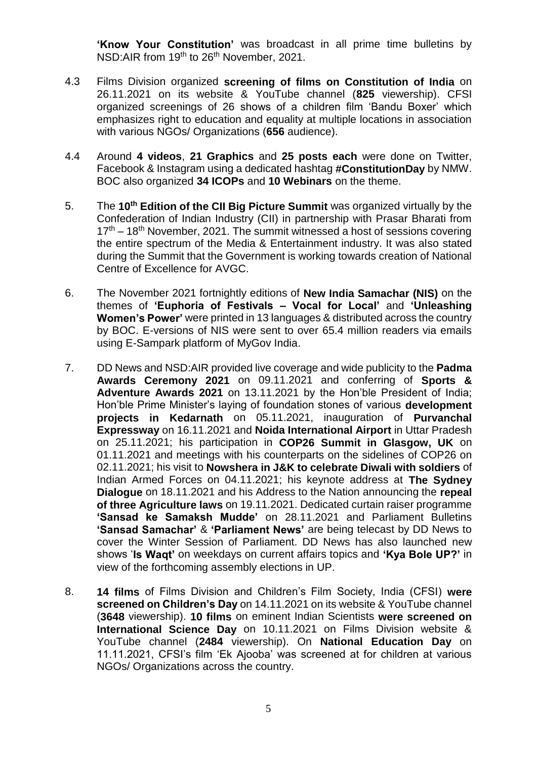**'Know Your Constitution'** was broadcast in all prime time bulletins by NSD:AIR from 19<sup>th</sup> to 26<sup>th</sup> November, 2021.

- 4.3 Films Division organized **screening of films on Constitution of India** on 26.11.2021 on its website & YouTube channel (**825** viewership). CFSI organized screenings of 26 shows of a children film 'Bandu Boxer' which emphasizes right to education and equality at multiple locations in association with various NGOs/ Organizations (**656** audience).
- 4.4 Around **4 videos**, **21 Graphics** and **25 posts each** were done on Twitter, Facebook & Instagram using a dedicated hashtag **#ConstitutionDay** by NMW. BOC also organized **34 ICOPs** and **10 Webinars** on the theme.
- 5. The **10th Edition of the CII Big Picture Summit** was organized virtually by the Confederation of Indian Industry (CII) in partnership with Prasar Bharati from  $17<sup>th</sup> - 18<sup>th</sup>$  November, 2021. The summit witnessed a host of sessions covering the entire spectrum of the Media & Entertainment industry. It was also stated during the Summit that the Government is working towards creation of National Centre of Excellence for AVGC.
- 6. The November 2021 fortnightly editions of **New India Samachar (NIS)** on the themes of **'Euphoria of Festivals – Vocal for Local'** and **'Unleashing Women's Power'** were printed in 13 languages & distributed across the country by BOC. E-versions of NIS were sent to over 65.4 million readers via emails using E-Sampark platform of MyGov India.
- 7. DD News and NSD:AIR provided live coverage and wide publicity to the **Padma Awards Ceremony 2021** on 09.11.2021 and conferring of **Sports & Adventure Awards 2021** on 13.11.2021 by the Hon'ble President of India; Hon'ble Prime Minister's laying of foundation stones of various **development projects in Kedarnath** on 05.11.2021, inauguration of **Purvanchal Expressway** on 16.11.2021 and **Noida International Airport** in Uttar Pradesh on 25.11.2021; his participation in **COP26 Summit in Glasgow, UK** on 01.11.2021 and meetings with his counterparts on the sidelines of COP26 on 02.11.2021; his visit to **Nowshera in J&K to celebrate Diwali with soldiers** of Indian Armed Forces on 04.11.2021; his keynote address at **The Sydney Dialogue** on 18.11.2021 and his Address to the Nation announcing the **repeal of three Agriculture laws** on 19.11.2021. Dedicated curtain raiser programme **'Sansad ke Samaksh Mudde'** on 28.11.2021 and Parliament Bulletins **'Sansad Samachar'** & **'Parliament News'** are being telecast by DD News to cover the Winter Session of Parliament. DD News has also launched new shows '**Is Waqt'** on weekdays on current affairs topics and **'Kya Bole UP?'** in view of the forthcoming assembly elections in UP.
- 8. **14 films** of Films Division and Children's Film Society, India (CFSI) **were screened on Children's Day** on 14.11.2021 on its website & YouTube channel (**3648** viewership). **10 films** on eminent Indian Scientists **were screened on International Science Day** on 10.11.2021 on Films Division website & YouTube channel (**2484** viewership). On **National Education Day** on 11.11.2021, CFSI's film 'Ek Ajooba' was screened at for children at various NGOs/ Organizations across the country.